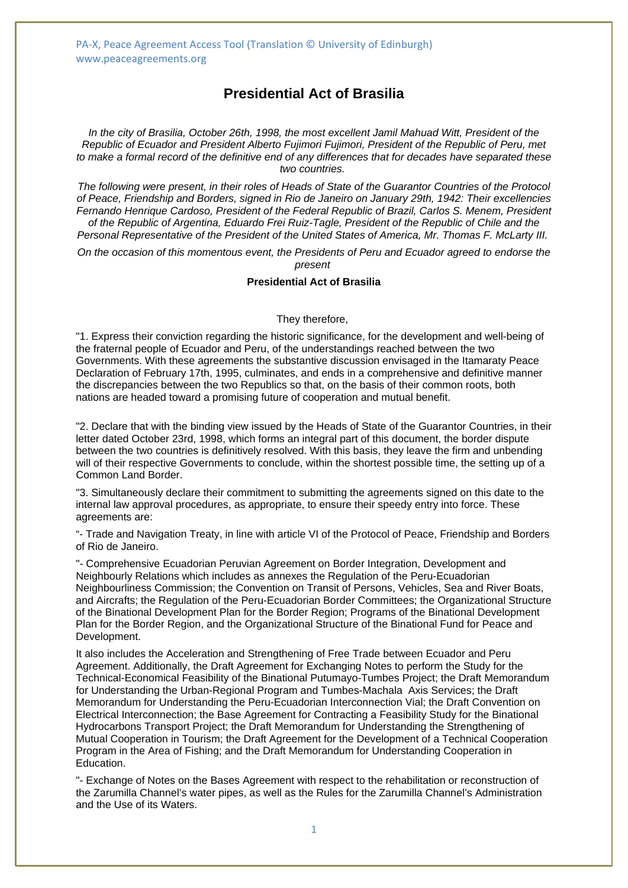PA-X, Peace Agreement Access Tool (Translation © University of Edinburgh) www.peaceagreements.org

# **Presidential Act of Brasilia**

*In the city of Brasilia, October 26th, 1998, the most excellent Jamil Mahuad Witt, President of the Republic of Ecuador and President Alberto Fujimori Fujimori, President of the Republic of Peru, met to make a formal record of the definitive end of any differences that for decades have separated these two countries.*

*The following were present, in their roles of Heads of State of the Guarantor Countries of the Protocol of Peace, Friendship and Borders, signed in Rio de Janeiro on January 29th, 1942: Their excellencies Fernando Henrique Cardoso, President of the Federal Republic of Brazil, Carlos S. Menem, President of the Republic of Argentina, Eduardo Frei Ruiz-Tagle, President of the Republic of Chile and the Personal Representative of the President of the United States of America, Mr. Thomas F. McLarty III.*

*On the occasion of this momentous event, the Presidents of Peru and Ecuador agreed to endorse the present*

### **Presidential Act of Brasilia**

#### They therefore,

"1. Express their conviction regarding the historic significance, for the development and well-being of the fraternal people of Ecuador and Peru, of the understandings reached between the two Governments. With these agreements the substantive discussion envisaged in the Itamaraty Peace Declaration of February 17th, 1995, culminates, and ends in a comprehensive and definitive manner the discrepancies between the two Republics so that, on the basis of their common roots, both nations are headed toward a promising future of cooperation and mutual benefit.

"2. Declare that with the binding view issued by the Heads of State of the Guarantor Countries, in their letter dated October 23rd, 1998, which forms an integral part of this document, the border dispute between the two countries is definitively resolved. With this basis, they leave the firm and unbending will of their respective Governments to conclude, within the shortest possible time, the setting up of a Common Land Border.

"3. Simultaneously declare their commitment to submitting the agreements signed on this date to the internal law approval procedures, as appropriate, to ensure their speedy entry into force. These agreements are:

"- Trade and Navigation Treaty, in line with article VI of the Protocol of Peace, Friendship and Borders of Rio de Janeiro.

"- Comprehensive Ecuadorian Peruvian Agreement on Border Integration, Development and Neighbourly Relations which includes as annexes the Regulation of the Peru-Ecuadorian Neighbourliness Commission; the Convention on Transit of Persons, Vehicles, Sea and River Boats, and Aircrafts; the Regulation of the Peru-Ecuadorian Border Committees; the Organizational Structure of the Binational Development Plan for the Border Region; Programs of the Binational Development Plan for the Border Region, and the Organizational Structure of the Binational Fund for Peace and Development.

It also includes the Acceleration and Strengthening of Free Trade between Ecuador and Peru Agreement. Additionally, the Draft Agreement for Exchanging Notes to perform the Study for the Technical-Economical Feasibility of the Binational Putumayo-Tumbes Project; the Draft Memorandum for Understanding the Urban-Regional Program and Tumbes-Machala Axis Services; the Draft Memorandum for Understanding the Peru-Ecuadorian Interconnection Vial; the Draft Convention on Electrical Interconnection; the Base Agreement for Contracting a Feasibility Study for the Binational Hydrocarbons Transport Project; the Draft Memorandum for Understanding the Strengthening of Mutual Cooperation in Tourism; the Draft Agreement for the Development of a Technical Cooperation Program in the Area of Fishing; and the Draft Memorandum for Understanding Cooperation in Education.

"- Exchange of Notes on the Bases Agreement with respect to the rehabilitation or reconstruction of the Zarumilla Channel's water pipes, as well as the Rules for the Zarumilla Channel's Administration and the Use of its Waters.